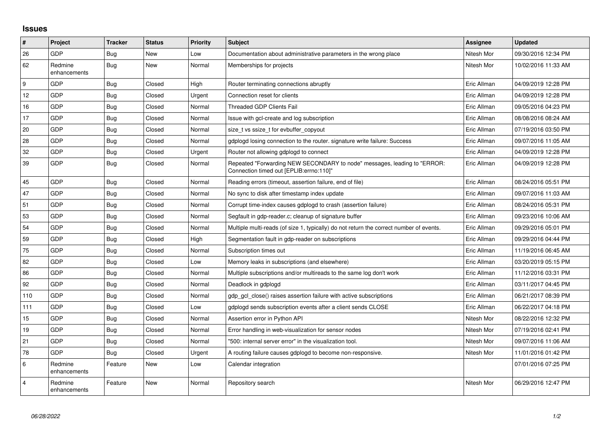## **Issues**

| #              | Project                 | <b>Tracker</b> | <b>Status</b> | <b>Priority</b> | <b>Subject</b>                                                                                                      | <b>Assignee</b> | <b>Updated</b>      |
|----------------|-------------------------|----------------|---------------|-----------------|---------------------------------------------------------------------------------------------------------------------|-----------------|---------------------|
| 26             | <b>GDP</b>              | Bug            | New           | Low             | Documentation about administrative parameters in the wrong place                                                    | Nitesh Mor      | 09/30/2016 12:34 PM |
| 62             | Redmine<br>enhancements | <b>Bug</b>     | <b>New</b>    | Normal          | Memberships for projects                                                                                            | Nitesh Mor      | 10/02/2016 11:33 AM |
| 9              | GDP                     | Bug            | Closed        | High            | Router terminating connections abruptly                                                                             | Eric Allman     | 04/09/2019 12:28 PM |
| 12             | <b>GDP</b>              | <b>Bug</b>     | Closed        | Urgent          | Connection reset for clients                                                                                        | Eric Allman     | 04/09/2019 12:28 PM |
| 16             | <b>GDP</b>              | <b>Bug</b>     | Closed        | Normal          | <b>Threaded GDP Clients Fail</b>                                                                                    | Eric Allman     | 09/05/2016 04:23 PM |
| 17             | <b>GDP</b>              | <b>Bug</b>     | Closed        | Normal          | Issue with gcl-create and log subscription                                                                          | Eric Allman     | 08/08/2016 08:24 AM |
| 20             | <b>GDP</b>              | <b>Bug</b>     | Closed        | Normal          | size t vs ssize t for evbuffer copyout                                                                              | Eric Allman     | 07/19/2016 03:50 PM |
| 28             | <b>GDP</b>              | Bug            | Closed        | Normal          | gdplogd losing connection to the router, signature write failure: Success                                           | Eric Allman     | 09/07/2016 11:05 AM |
| 32             | <b>GDP</b>              | Bug            | Closed        | Urgent          | Router not allowing gdplogd to connect                                                                              | Eric Allman     | 04/09/2019 12:28 PM |
| 39             | <b>GDP</b>              | <b>Bug</b>     | Closed        | Normal          | Repeated "Forwarding NEW SECONDARY to node" messages, leading to "ERROR:<br>Connection timed out [EPLIB:errno:110]" | Eric Allman     | 04/09/2019 12:28 PM |
| 45             | GDP                     | <b>Bug</b>     | Closed        | Normal          | Reading errors (timeout, assertion failure, end of file)                                                            | Eric Allman     | 08/24/2016 05:51 PM |
| 47             | <b>GDP</b>              | Bug            | Closed        | Normal          | No sync to disk after timestamp index update                                                                        | Eric Allman     | 09/07/2016 11:03 AM |
| 51             | <b>GDP</b>              | <b>Bug</b>     | Closed        | Normal          | Corrupt time-index causes gdplogd to crash (assertion failure)                                                      | Eric Allman     | 08/24/2016 05:31 PM |
| 53             | <b>GDP</b>              | Bug            | Closed        | Normal          | Segfault in gdp-reader.c; cleanup of signature buffer                                                               | Eric Allman     | 09/23/2016 10:06 AM |
| 54             | GDP                     | <b>Bug</b>     | Closed        | Normal          | Multiple multi-reads (of size 1, typically) do not return the correct number of events.                             | Eric Allman     | 09/29/2016 05:01 PM |
| 59             | <b>GDP</b>              | Bug            | Closed        | High            | Segmentation fault in gdp-reader on subscriptions                                                                   | Eric Allman     | 09/29/2016 04:44 PM |
| 75             | <b>GDP</b>              | Bug            | Closed        | Normal          | Subscription times out                                                                                              | Eric Allman     | 11/19/2016 06:45 AM |
| 82             | <b>GDP</b>              | <b>Bug</b>     | Closed        | Low             | Memory leaks in subscriptions (and elsewhere)                                                                       | Eric Allman     | 03/20/2019 05:15 PM |
| 86             | GDP                     | <b>Bug</b>     | Closed        | Normal          | Multiple subscriptions and/or multireads to the same log don't work                                                 | Eric Allman     | 11/12/2016 03:31 PM |
| 92             | <b>GDP</b>              | Bug            | Closed        | Normal          | Deadlock in gdplogd                                                                                                 | Eric Allman     | 03/11/2017 04:45 PM |
| 110            | <b>GDP</b>              | <b>Bug</b>     | Closed        | Normal          | gdp gcl close() raises assertion failure with active subscriptions                                                  | Eric Allman     | 06/21/2017 08:39 PM |
| 111            | <b>GDP</b>              | <b>Bug</b>     | Closed        | Low             | gdplogd sends subscription events after a client sends CLOSE                                                        | Eric Allman     | 06/22/2017 04:18 PM |
| 15             | GDP                     | <b>Bug</b>     | Closed        | Normal          | Assertion error in Python API                                                                                       | Nitesh Mor      | 08/22/2016 12:32 PM |
| 19             | <b>GDP</b>              | <b>Bug</b>     | Closed        | Normal          | Error handling in web-visualization for sensor nodes                                                                | Nitesh Mor      | 07/19/2016 02:41 PM |
| 21             | <b>GDP</b>              | <b>Bug</b>     | Closed        | Normal          | "500: internal server error" in the visualization tool.                                                             | Nitesh Mor      | 09/07/2016 11:06 AM |
| 78             | <b>GDP</b>              | <b>Bug</b>     | Closed        | Urgent          | A routing failure causes gdplogd to become non-responsive.                                                          | Nitesh Mor      | 11/01/2016 01:42 PM |
| 6              | Redmine<br>enhancements | Feature        | New           | Low             | Calendar integration                                                                                                |                 | 07/01/2016 07:25 PM |
| $\overline{4}$ | Redmine<br>enhancements | Feature        | New           | Normal          | Repository search                                                                                                   | Nitesh Mor      | 06/29/2016 12:47 PM |